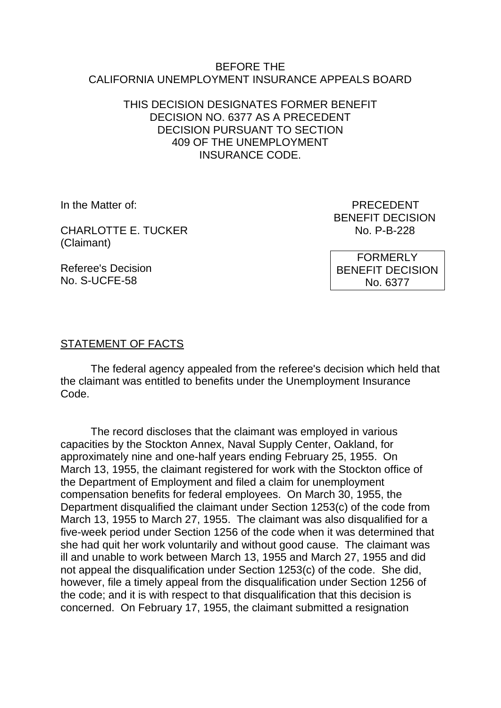#### BEFORE THE CALIFORNIA UNEMPLOYMENT INSURANCE APPEALS BOARD

## THIS DECISION DESIGNATES FORMER BENEFIT DECISION NO. 6377 AS A PRECEDENT DECISION PURSUANT TO SECTION 409 OF THE UNEMPLOYMENT INSURANCE CODE.

CHARLOTTE E. TUCKER NO. P-B-228 (Claimant)

In the Matter of: PRECEDENT BENEFIT DECISION

Referee's Decision No. S-UCFE-58

FORMERLY BENEFIT DECISION No. 6377

### STATEMENT OF FACTS

The federal agency appealed from the referee's decision which held that the claimant was entitled to benefits under the Unemployment Insurance Code.

The record discloses that the claimant was employed in various capacities by the Stockton Annex, Naval Supply Center, Oakland, for approximately nine and one-half years ending February 25, 1955. On March 13, 1955, the claimant registered for work with the Stockton office of the Department of Employment and filed a claim for unemployment compensation benefits for federal employees. On March 30, 1955, the Department disqualified the claimant under Section 1253(c) of the code from March 13, 1955 to March 27, 1955. The claimant was also disqualified for a five-week period under Section 1256 of the code when it was determined that she had quit her work voluntarily and without good cause. The claimant was ill and unable to work between March 13, 1955 and March 27, 1955 and did not appeal the disqualification under Section 1253(c) of the code. She did, however, file a timely appeal from the disqualification under Section 1256 of the code; and it is with respect to that disqualification that this decision is concerned. On February 17, 1955, the claimant submitted a resignation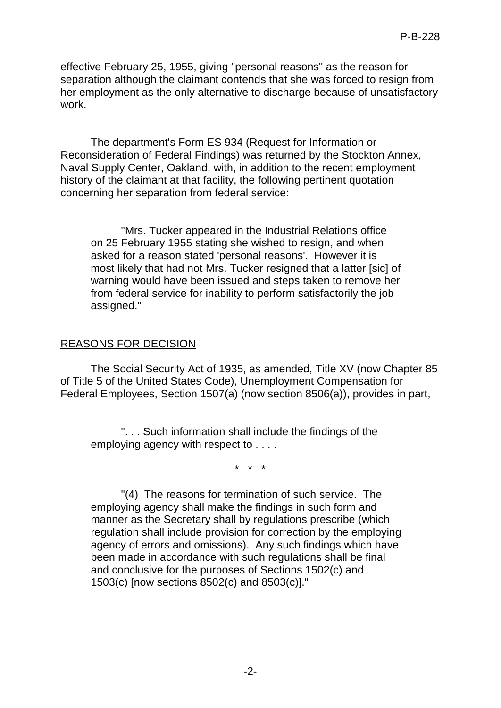effective February 25, 1955, giving "personal reasons" as the reason for separation although the claimant contends that she was forced to resign from her employment as the only alternative to discharge because of unsatisfactory work.

The department's Form ES 934 (Request for Information or Reconsideration of Federal Findings) was returned by the Stockton Annex, Naval Supply Center, Oakland, with, in addition to the recent employment history of the claimant at that facility, the following pertinent quotation concerning her separation from federal service:

"Mrs. Tucker appeared in the Industrial Relations office on 25 February 1955 stating she wished to resign, and when asked for a reason stated 'personal reasons'. However it is most likely that had not Mrs. Tucker resigned that a latter [sic] of warning would have been issued and steps taken to remove her from federal service for inability to perform satisfactorily the job assigned."

### REASONS FOR DECISION

The Social Security Act of 1935, as amended, Title XV (now Chapter 85 of Title 5 of the United States Code), Unemployment Compensation for Federal Employees, Section 1507(a) (now section 8506(a)), provides in part,

". . . Such information shall include the findings of the employing agency with respect to . . . .

\* \* \*

"(4) The reasons for termination of such service. The employing agency shall make the findings in such form and manner as the Secretary shall by regulations prescribe (which regulation shall include provision for correction by the employing agency of errors and omissions). Any such findings which have been made in accordance with such regulations shall be final and conclusive for the purposes of Sections 1502(c) and 1503(c) [now sections 8502(c) and 8503(c)]."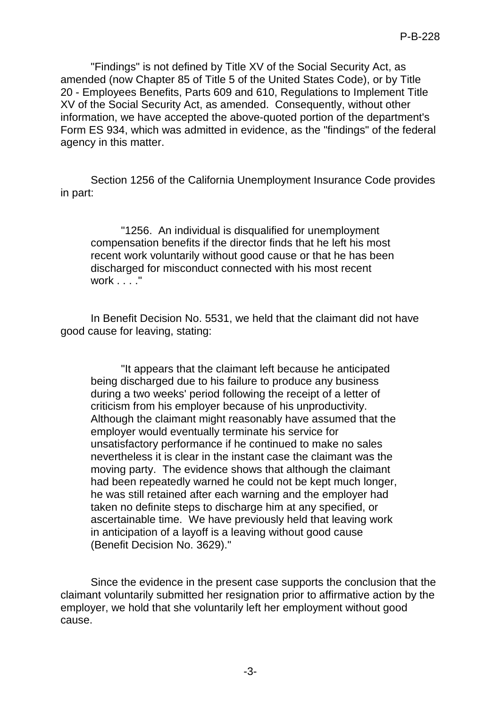"Findings" is not defined by Title XV of the Social Security Act, as amended (now Chapter 85 of Title 5 of the United States Code), or by Title 20 - Employees Benefits, Parts 609 and 610, Regulations to Implement Title XV of the Social Security Act, as amended. Consequently, without other information, we have accepted the above-quoted portion of the department's Form ES 934, which was admitted in evidence, as the "findings" of the federal agency in this matter.

Section 1256 of the California Unemployment Insurance Code provides in part:

"1256. An individual is disqualified for unemployment compensation benefits if the director finds that he left his most recent work voluntarily without good cause or that he has been discharged for misconduct connected with his most recent work . . . ."

In Benefit Decision No. 5531, we held that the claimant did not have good cause for leaving, stating:

"It appears that the claimant left because he anticipated being discharged due to his failure to produce any business during a two weeks' period following the receipt of a letter of criticism from his employer because of his unproductivity. Although the claimant might reasonably have assumed that the employer would eventually terminate his service for unsatisfactory performance if he continued to make no sales nevertheless it is clear in the instant case the claimant was the moving party. The evidence shows that although the claimant had been repeatedly warned he could not be kept much longer, he was still retained after each warning and the employer had taken no definite steps to discharge him at any specified, or ascertainable time. We have previously held that leaving work in anticipation of a layoff is a leaving without good cause (Benefit Decision No. 3629)."

Since the evidence in the present case supports the conclusion that the claimant voluntarily submitted her resignation prior to affirmative action by the employer, we hold that she voluntarily left her employment without good cause.